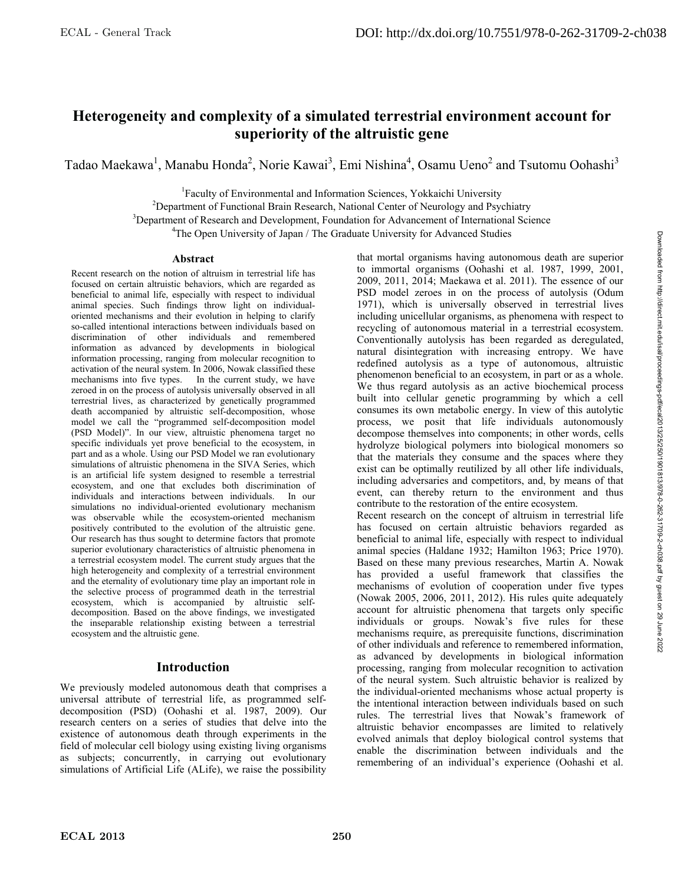# **Heterogeneity and complexity of a simulated terrestrial environment account for superiority of the altruistic gene**

Tadao Maekawa<sup>1</sup>, Manabu Honda<sup>2</sup>, Norie Kawai<sup>3</sup>, Emi Nishina<sup>4</sup>, Osamu Ueno<sup>2</sup> and Tsutomu Oohashi<sup>3</sup>

<sup>1</sup> Faculty of Environmental and Information Sciences, Yokkaichi University<br><sup>2</sup> Department of Eunstianal Prain Bessersh, National Center of Nauraleau and Beug

 $^{2}$ Department of Functional Brain Research, National Center of Neurology and Psychiatry

<sup>3</sup>Department of Research and Development, Foundation for Advancement of International Science

<sup>4</sup>The Open University of Japan / The Graduate University for Advanced Studies

#### **Abstract**

Recent research on the notion of altruism in terrestrial life has focused on certain altruistic behaviors, which are regarded as beneficial to animal life, especially with respect to individual animal species. Such findings throw light on individualoriented mechanisms and their evolution in helping to clarify so-called intentional interactions between individuals based on discrimination of other individuals and remembered information as advanced by developments in biological information processing, ranging from molecular recognition to activation of the neural system. In 2006, Nowak classified these mechanisms into five types. In the current study, we have zeroed in on the process of autolysis universally observed in all terrestrial lives, as characterized by genetically programmed death accompanied by altruistic self-decomposition, whose model we call the "programmed self-decomposition model (PSD Model)". In our view, altruistic phenomena target no specific individuals yet prove beneficial to the ecosystem, in part and as a whole. Using our PSD Model we ran evolutionary simulations of altruistic phenomena in the SIVA Series, which is an artificial life system designed to resemble a terrestrial ecosystem, and one that excludes both discrimination of individuals and interactions between individuals. In our individuals and interactions between individuals. simulations no individual-oriented evolutionary mechanism was observable while the ecosystem-oriented mechanism positively contributed to the evolution of the altruistic gene. Our research has thus sought to determine factors that promote superior evolutionary characteristics of altruistic phenomena in a terrestrial ecosystem model. The current study argues that the high heterogeneity and complexity of a terrestrial environment and the eternality of evolutionary time play an important role in the selective process of programmed death in the terrestrial ecosystem, which is accompanied by altruistic selfdecomposition. Based on the above findings, we investigated the inseparable relationship existing between a terrestrial ecosystem and the altruistic gene.

# **Introduction**

We previously modeled autonomous death that comprises a universal attribute of terrestrial life, as programmed selfdecomposition (PSD) (Oohashi et al. 1987, 2009). Our research centers on a series of studies that delve into the existence of autonomous death through experiments in the field of molecular cell biology using existing living organisms as subjects; concurrently, in carrying out evolutionary simulations of Artificial Life (ALife), we raise the possibility

that mortal organisms having autonomous death are superior to immortal organisms (Oohashi et al. 1987, 1999, 2001, 2009, 2011, 2014; Maekawa et al. 2011). The essence of our PSD model zeroes in on the process of autolysis (Odum 1971), which is universally observed in terrestrial lives including unicellular organisms, as phenomena with respect to recycling of autonomous material in a terrestrial ecosystem. Conventionally autolysis has been regarded as deregulated, natural disintegration with increasing entropy. We have redefined autolysis as a type of autonomous, altruistic phenomenon beneficial to an ecosystem, in part or as a whole. We thus regard autolysis as an active biochemical process built into cellular genetic programming by which a cell consumes its own metabolic energy. In view of this autolytic process, we posit that life individuals autonomously decompose themselves into components; in other words, cells hydrolyze biological polymers into biological monomers so that the materials they consume and the spaces where they exist can be optimally reutilized by all other life individuals, including adversaries and competitors, and, by means of that event, can thereby return to the environment and thus contribute to the restoration of the entire ecosystem. Recent research on the concept of altruism in terrestrial life has focused on certain altruistic behaviors regarded as beneficial to animal life, especially with respect to individual animal species (Haldane 1932; Hamilton 1963; Price 1970). Based on these many previous researches, Martin A. Nowak

has provided a useful framework that classifies the mechanisms of evolution of cooperation under five types (Nowak 2005, 2006, 2011, 2012). His rules quite adequately account for altruistic phenomena that targets only specific individuals or groups. Nowak's five rules for these mechanisms require, as prerequisite functions, discrimination of other individuals and reference to remembered information, as advanced by developments in biological information processing, ranging from molecular recognition to activation of the neural system. Such altruistic behavior is realized by the individual-oriented mechanisms whose actual property is the intentional interaction between individuals based on such rules. The terrestrial lives that Nowak's framework of altruistic behavior encompasses are limited to relatively evolved animals that deploy biological control systems that enable the discrimination between individuals and the

remembering of an individual's experience (Oohashi et al.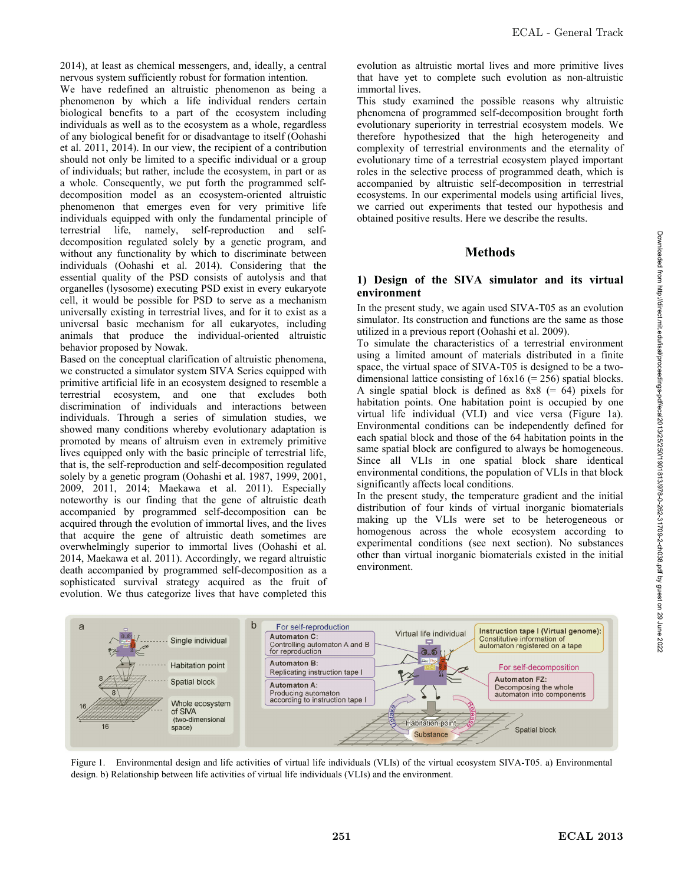2014), at least as chemical messengers, and, ideally, a central nervous system sufficiently robust for formation intention.

We have redefined an altruistic phenomenon as being a phenomenon by which a life individual renders certain biological benefits to a part of the ecosystem including individuals as well as to the ecosystem as a whole, regardless of any biological benefit for or disadvantage to itself (Oohashi et al. 2011, 2014). In our view, the recipient of a contribution should not only be limited to a specific individual or a group of individuals; but rather, include the ecosystem, in part or as a whole. Consequently, we put forth the programmed selfdecomposition model as an ecosystem-oriented altruistic phenomenon that emerges even for very primitive life individuals equipped with only the fundamental principle of terrestrial life, namely, self-reproduction and selfdecomposition regulated solely by a genetic program, and without any functionality by which to discriminate between individuals (Oohashi et al. 2014). Considering that the essential quality of the PSD consists of autolysis and that organelles (lysosome) executing PSD exist in every eukaryote cell, it would be possible for PSD to serve as a mechanism universally existing in terrestrial lives, and for it to exist as a universal basic mechanism for all eukaryotes, including animals that produce the individual-oriented altruistic behavior proposed by Nowak.

Based on the conceptual clarification of altruistic phenomena, we constructed a simulator system SIVA Series equipped with primitive artificial life in an ecosystem designed to resemble a terrestrial ecosystem, and one that excludes both discrimination of individuals and interactions between individuals. Through a series of simulation studies, we showed many conditions whereby evolutionary adaptation is promoted by means of altruism even in extremely primitive lives equipped only with the basic principle of terrestrial life, that is, the self-reproduction and self-decomposition regulated solely by a genetic program (Oohashi et al. 1987, 1999, 2001, 2009, 2011, 2014; Maekawa et al. 2011). Especially noteworthy is our finding that the gene of altruistic death accompanied by programmed self-decomposition can be acquired through the evolution of immortal lives, and the lives that acquire the gene of altruistic death sometimes are overwhelmingly superior to immortal lives (Oohashi et al. 2014, Maekawa et al. 2011). Accordingly, we regard altruistic death accompanied by programmed self-decomposition as a sophisticated survival strategy acquired as the fruit of evolution. We thus categorize lives that have completed this evolution as altruistic mortal lives and more primitive lives that have yet to complete such evolution as non-altruistic immortal lives.

This study examined the possible reasons why altruistic phenomena of programmed self-decomposition brought forth evolutionary superiority in terrestrial ecosystem models. We therefore hypothesized that the high heterogeneity and complexity of terrestrial environments and the eternality of evolutionary time of a terrestrial ecosystem played important roles in the selective process of programmed death, which is accompanied by altruistic self-decomposition in terrestrial ecosystems. In our experimental models using artificial lives, we carried out experiments that tested our hypothesis and obtained positive results. Here we describe the results.

## **Methods**

### **1) Design of the SIVA simulator and its virtual environment**

In the present study, we again used SIVA-T05 as an evolution simulator. Its construction and functions are the same as those utilized in a previous report (Oohashi et al. 2009).

To simulate the characteristics of a terrestrial environment using a limited amount of materials distributed in a finite space, the virtual space of SIVA-T05 is designed to be a twodimensional lattice consisting of  $16x16 (= 256)$  spatial blocks. A single spatial block is defined as  $8x8 (= 64)$  pixels for habitation points. One habitation point is occupied by one virtual life individual (VLI) and vice versa (Figure 1a). Environmental conditions can be independently defined for each spatial block and those of the 64 habitation points in the same spatial block are configured to always be homogeneous. Since all VLIs in one spatial block share identical environmental conditions, the population of VLIs in that block significantly affects local conditions.

In the present study, the temperature gradient and the initial distribution of four kinds of virtual inorganic biomaterials making up the VLIs were set to be heterogeneous or homogenous across the whole ecosystem according to experimental conditions (see next section). No substances other than virtual inorganic biomaterials existed in the initial environment.



Figure 1. Environmental design and life activities of virtual life individuals (VLIs) of the virtual ecosystem SIVA-T05. a) Environmental design. b) Relationship between life activities of virtual life individuals (VLIs) and the environment.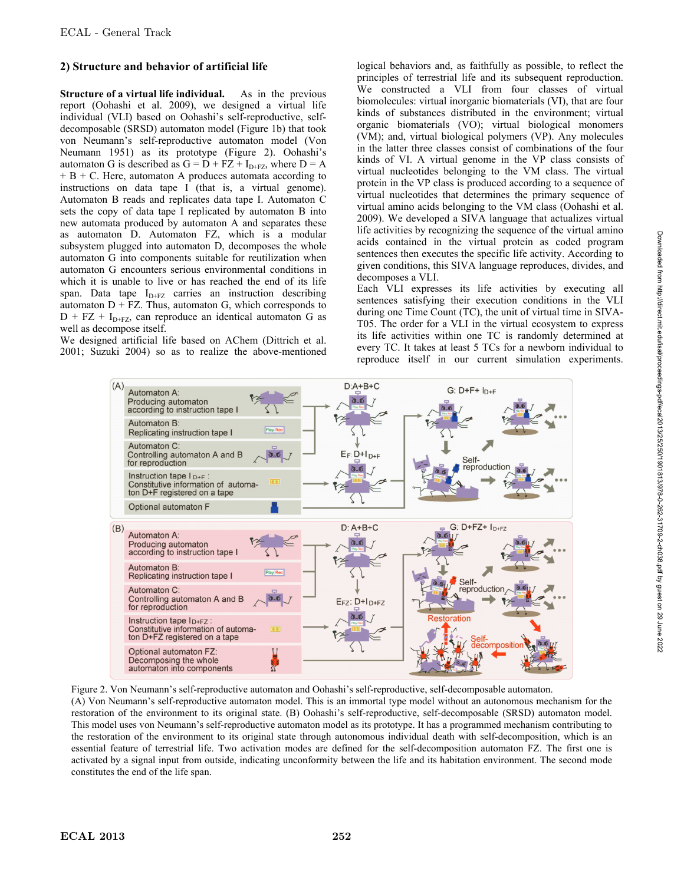## **2) Structure and behavior of artificial life**

**Structure of a virtual life individual.** As in the previous report (Oohashi et al. 2009), we designed a virtual life individual (VLI) based on Oohashi's self-reproductive, selfdecomposable (SRSD) automaton model (Figure 1b) that took von Neumann's self-reproductive automaton model (Von Neumann 1951) as its prototype (Figure 2). Oohashi's automaton G is described as  $G = D + FZ + I_{D+FZ}$ , where  $D = A$  $+ B + C$ . Here, automaton A produces automata according to instructions on data tape I (that is, a virtual genome). Automaton B reads and replicates data tape I. Automaton C sets the copy of data tape I replicated by automaton B into new automata produced by automaton A and separates these as automaton D. Automaton FZ, which is a modular subsystem plugged into automaton D, decomposes the whole automaton G into components suitable for reutilization when automaton G encounters serious environmental conditions in which it is unable to live or has reached the end of its life span. Data tape  $I_{D+FZ}$  carries an instruction describing automaton  $D + FZ$ . Thus, automaton G, which corresponds to  $D$  + FZ + I<sub>D+FZ</sub>, can reproduce an identical automaton G as well as decompose itself.

We designed artificial life based on AChem (Dittrich et al. 2001; Suzuki 2004) so as to realize the above-mentioned logical behaviors and, as faithfully as possible, to reflect the principles of terrestrial life and its subsequent reproduction. We constructed a VLI from four classes of virtual biomolecules: virtual inorganic biomaterials (VI), that are four kinds of substances distributed in the environment; virtual organic biomaterials (VO); virtual biological monomers (VM); and, virtual biological polymers (VP). Any molecules in the latter three classes consist of combinations of the four kinds of VI. A virtual genome in the VP class consists of virtual nucleotides belonging to the VM class. The virtual protein in the VP class is produced according to a sequence of virtual nucleotides that determines the primary sequence of virtual amino acids belonging to the VM class (Oohashi et al. 2009). We developed a SIVA language that actualizes virtual life activities by recognizing the sequence of the virtual amino acids contained in the virtual protein as coded program sentences then executes the specific life activity. According to given conditions, this SIVA language reproduces, divides, and decomposes a VLI.

Each VLI expresses its life activities by executing all sentences satisfying their execution conditions in the VLI during one Time Count (TC), the unit of virtual time in SIVA-T05. The order for a VLI in the virtual ecosystem to express its life activities within one TC is randomly determined at every TC. It takes at least 5 TCs for a newborn individual to reproduce itself in our current simulation experiments.



Figure 2. Von Neumann's self-reproductive automaton and Oohashi's self-reproductive, self-decomposable automaton.

(A) Von Neumann's self-reproductive automaton model. This is an immortal type model without an autonomous mechanism for the restoration of the environment to its original state. (B) Oohashi's self-reproductive, self-decomposable (SRSD) automaton model. This model uses von Neumann's self-reproductive automaton model as its prototype. It has a programmed mechanism contributing to the restoration of the environment to its original state through autonomous individual death with self-decomposition, which is an essential feature of terrestrial life. Two activation modes are defined for the self-decomposition automaton FZ. The first one is activated by a signal input from outside, indicating unconformity between the life and its habitation environment. The second mode constitutes the end of the life span.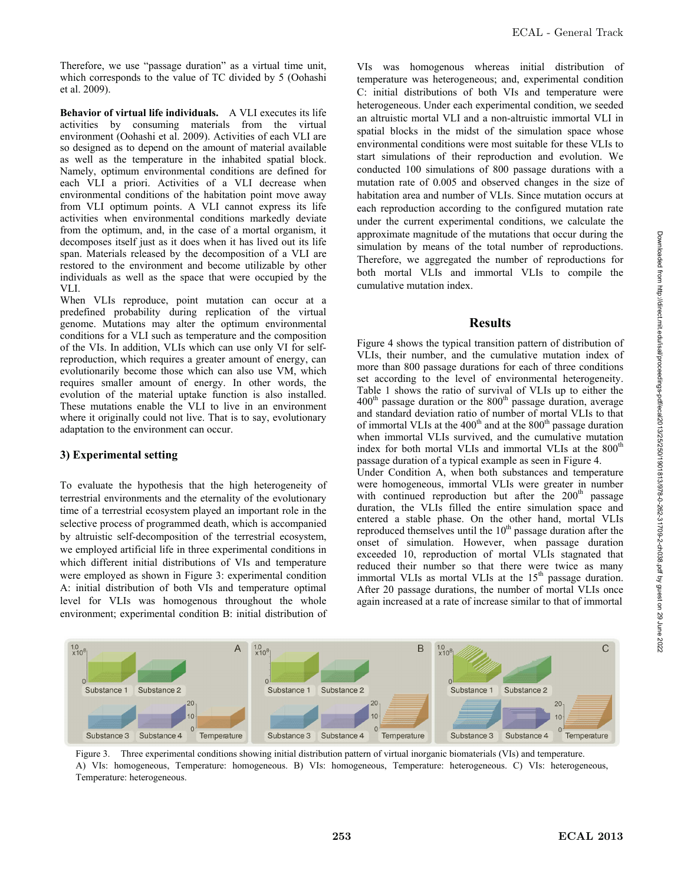Therefore, we use "passage duration" as a virtual time unit, which corresponds to the value of TC divided by 5 (Oohashi et al. 2009).

**Behavior of virtual life individuals.** A VLI executes its life activities by consuming materials from the virtual environment (Oohashi et al. 2009). Activities of each VLI are so designed as to depend on the amount of material available as well as the temperature in the inhabited spatial block. Namely, optimum environmental conditions are defined for each VLI a priori. Activities of a VLI decrease when environmental conditions of the habitation point move away from VLI optimum points. A VLI cannot express its life activities when environmental conditions markedly deviate from the optimum, and, in the case of a mortal organism, it decomposes itself just as it does when it has lived out its life span. Materials released by the decomposition of a VLI are restored to the environment and become utilizable by other individuals as well as the space that were occupied by the VLI.

When VLIs reproduce, point mutation can occur at a predefined probability during replication of the virtual genome. Mutations may alter the optimum environmental conditions for a VLI such as temperature and the composition of the VIs. In addition, VLIs which can use only VI for selfreproduction, which requires a greater amount of energy, can evolutionarily become those which can also use VM, which requires smaller amount of energy. In other words, the evolution of the material uptake function is also installed. These mutations enable the VLI to live in an environment where it originally could not live. That is to say, evolutionary adaptation to the environment can occur.

### **3) Experimental setting**

To evaluate the hypothesis that the high heterogeneity of terrestrial environments and the eternality of the evolutionary time of a terrestrial ecosystem played an important role in the selective process of programmed death, which is accompanied by altruistic self-decomposition of the terrestrial ecosystem, we employed artificial life in three experimental conditions in which different initial distributions of VIs and temperature were employed as shown in Figure 3: experimental condition A: initial distribution of both VIs and temperature optimal level for VLIs was homogenous throughout the whole environment; experimental condition B: initial distribution of VIs was homogenous whereas initial distribution of temperature was heterogeneous; and, experimental condition C: initial distributions of both VIs and temperature were heterogeneous. Under each experimental condition, we seeded an altruistic mortal VLI and a non-altruistic immortal VLI in spatial blocks in the midst of the simulation space whose environmental conditions were most suitable for these VLIs to start simulations of their reproduction and evolution. We conducted 100 simulations of 800 passage durations with a mutation rate of 0.005 and observed changes in the size of habitation area and number of VLIs. Since mutation occurs at each reproduction according to the configured mutation rate under the current experimental conditions, we calculate the approximate magnitude of the mutations that occur during the simulation by means of the total number of reproductions. Therefore, we aggregated the number of reproductions for both mortal VLIs and immortal VLIs to compile the cumulative mutation index.

## **Results**

Figure 4 shows the typical transition pattern of distribution of VLIs, their number, and the cumulative mutation index of more than 800 passage durations for each of three conditions set according to the level of environmental heterogeneity. Table 1 shows the ratio of survival of VLIs up to either the  $400<sup>th</sup>$  passage duration or the  $800<sup>th</sup>$  passage duration, average and standard deviation ratio of number of mortal VLIs to that of immortal VLIs at the  $400<sup>th</sup>$  and at the  $800<sup>th</sup>$  passage duration when immortal VLIs survived, and the cumulative mutation index for both mortal VLIs and immortal VLIs at the  $800<sup>th</sup>$ passage duration of a typical example as seen in Figure 4.

Under Condition A, when both substances and temperature were homogeneous, immortal VLIs were greater in number with continued reproduction but after the  $200<sup>th</sup>$  passage duration, the VLIs filled the entire simulation space and entered a stable phase. On the other hand, mortal VLIs reproduced themselves until the  $10<sup>th</sup>$  passage duration after the onset of simulation. However, when passage duration exceeded 10, reproduction of mortal VLIs stagnated that reduced their number so that there were twice as many immortal VLIs as mortal VLIs at the  $15<sup>th</sup>$  passage duration. After 20 passage durations, the number of mortal VLIs once again increased at a rate of increase similar to that of immortal



Figure 3. Three experimental conditions showing initial distribution pattern of virtual inorganic biomaterials (VIs) and temperature. A) VIs: homogeneous, Temperature: homogeneous. B) VIs: homogeneous, Temperature: heterogeneous. C) VIs: heterogeneous, Temperature: heterogeneous.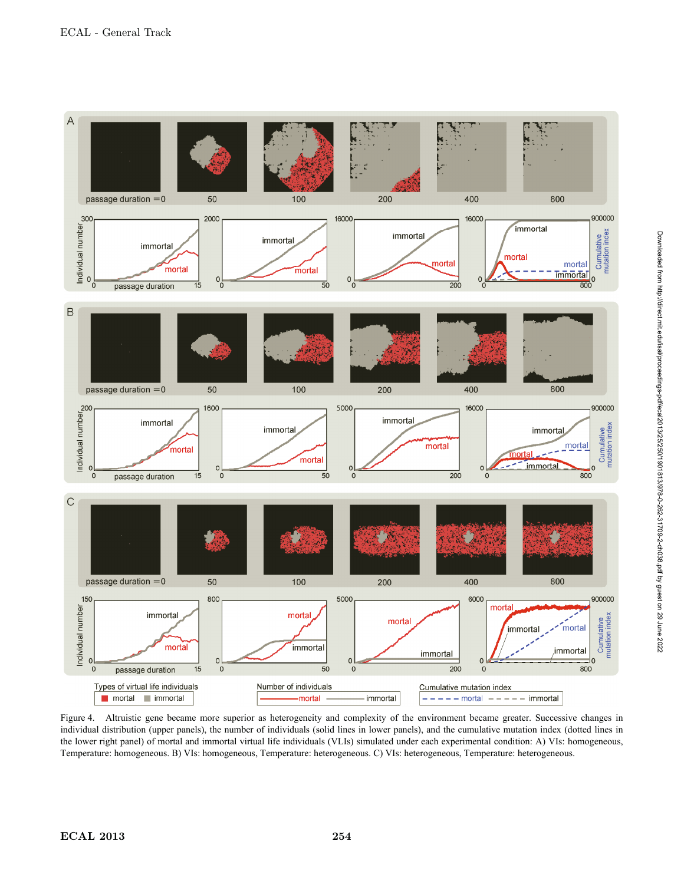

Figure 4. Altruistic gene became more superior as heterogeneity and complexity of the environment became greater. Successive changes in individual distribution (upper panels), the number of individuals (solid lines in lower panels), and the cumulative mutation index (dotted lines in the lower right panel) of mortal and immortal virtual life individuals (VLIs) simulated under each experimental condition: A) VIs: homogeneous, Temperature: homogeneous. B) VIs: homogeneous, Temperature: heterogeneous. C) VIs: heterogeneous, Temperature: heterogeneous.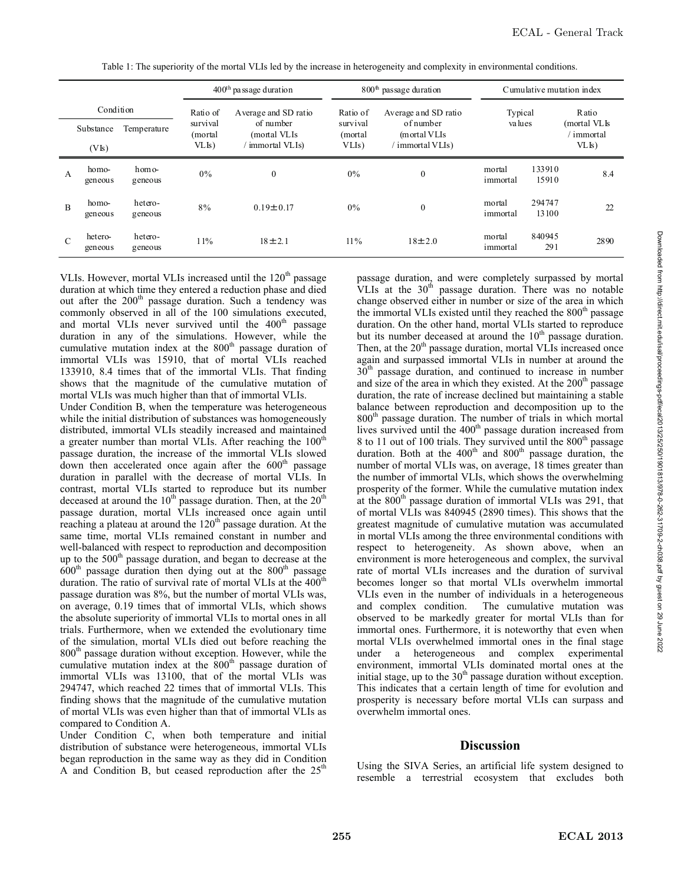|                |                    |                    | $400th$ passage duration |                           | $800th$ passage duration |                            | Cumulative mutation index |                 |                            |  |
|----------------|--------------------|--------------------|--------------------------|---------------------------|--------------------------|----------------------------|---------------------------|-----------------|----------------------------|--|
| Condition      |                    |                    | Ratio of                 | A verage and SD ratio     | Ratio of                 | Average and SD ratio       | Typical                   |                 | Ratio                      |  |
|                | Substance          | Temperature        | survival<br>(mortal      | of number<br>(mortal VLIs | survival<br>(mortal)     | of number<br>(m ortal VLIs | va lues                   |                 | (mortal VLIs<br>' immortal |  |
|                | (VIs)              |                    | VLIs)                    | immortal VLIs)            | VLI <sub>s</sub> )       | immortal VLIs)             |                           |                 | VL <sub>l</sub>            |  |
| A              | homo-<br>geneous   | homo-<br>geneous   | 0%                       | $\boldsymbol{0}$          | $0\%$                    | $\boldsymbol{0}$           | mortal<br>immortal        | 133910<br>15910 | 8.4                        |  |
| $\overline{B}$ | homo-<br>geneous   | hetero-<br>geneous | 8%                       | $0.19 \pm 0.17$           | $0\%$                    | $\boldsymbol{0}$           | mortal<br>immortal        | 294747<br>13100 | 22                         |  |
| $\mathcal{C}$  | hetero-<br>geneous | hetero-<br>geneous | 11%                      | $18 \pm 2.1$              | $11\%$                   | $18 + 2.0$                 | mortal<br>immortal        | 840945<br>291   | 2890                       |  |

Table 1: The superiority of the mortal VLIs led by the increase in heterogeneity and complexity in environmental conditions.

VLIs. However, mortal VLIs increased until the  $120<sup>th</sup>$  passage duration at which time they entered a reduction phase and died out after the  $200<sup>th</sup>$  passage duration. Such a tendency was commonly observed in all of the 100 simulations executed, and mortal VLIs never survived until the 400<sup>th</sup> passage duration in any of the simulations. However, while the cumulative mutation index at the  $800<sup>th</sup>$  passage duration of immortal VLIs was 15910, that of mortal VLIs reached 133910, 8.4 times that of the immortal VLIs. That finding shows that the magnitude of the cumulative mutation of mortal VLIs was much higher than that of immortal VLIs.

Under Condition B, when the temperature was heterogeneous while the initial distribution of substances was homogeneously distributed, immortal VLIs steadily increased and maintained a greater number than mortal VLIs. After reaching the 100<sup>th</sup> passage duration, the increase of the immortal VLIs slowed  $d$ own then accelerated once again after the  $600<sup>th</sup>$  passage duration in parallel with the decrease of mortal VLIs. In contrast, mortal VLIs started to reproduce but its number deceased at around the  $10^{th}$  passage duration. Then, at the  $20^{th}$ passage duration, mortal VLIs increased once again until reaching a plateau at around the  $120<sup>th</sup>$  passage duration. At the same time, mortal VLIs remained constant in number and well-balanced with respect to reproduction and decomposition up to the 500<sup>th</sup> passage duration, and began to decrease at the  $600<sup>th</sup>$  passage duration then dying out at the  $800<sup>th</sup>$  passage duration. The ratio of survival rate of mortal VLIs at the  $400^{\text{th}}$ passage duration was 8%, but the number of mortal VLIs was, on average, 0.19 times that of immortal VLIs, which shows the absolute superiority of immortal VLIs to mortal ones in all trials. Furthermore, when we extended the evolutionary time of the simulation, mortal VLIs died out before reaching the 800<sup>th</sup> passage duration without exception. However, while the cumulative mutation index at the  $800<sup>th</sup>$  passage duration of immortal VLIs was 13100, that of the mortal VLIs was 294747, which reached 22 times that of immortal VLIs. This finding shows that the magnitude of the cumulative mutation of mortal VLIs was even higher than that of immortal VLIs as compared to Condition A.

Under Condition C, when both temperature and initial distribution of substance were heterogeneous, immortal VLIs began reproduction in the same way as they did in Condition A and Condition B, but ceased reproduction after the  $25<sup>th</sup>$ 

passage duration, and were completely surpassed by mortal VLIs at the  $30<sup>th</sup>$  passage duration. There was no notable change observed either in number or size of the area in which the immortal VLIs existed until they reached the 800<sup>th</sup> passage duration. On the other hand, mortal VLIs started to reproduce but its number deceased at around the  $10<sup>th</sup>$  passage duration. Then, at the 20<sup>th</sup> passage duration, mortal VLIs increased once again and surpassed immortal VLIs in number at around the  $30<sup>th</sup>$  passage duration, and continued to increase in number and size of the area in which they existed. At the  $200<sup>th</sup>$  passage duration, the rate of increase declined but maintaining a stable balance between reproduction and decomposition up to the  $800<sup>th</sup>$  passage duration. The number of trials in which mortal lives survived until the 400<sup>th</sup> passage duration increased from 8 to 11 out of 100 trials. They survived until the 800<sup>th</sup> passage duration. Both at the  $400<sup>th</sup>$  and  $800<sup>th</sup>$  passage duration, the number of mortal VLIs was, on average, 18 times greater than the number of immortal VLIs, which shows the overwhelming prosperity of the former. While the cumulative mutation index at the 800<sup>th</sup> passage duration of immortal VLIs was 291, that of mortal VLIs was 840945 (2890 times). This shows that the greatest magnitude of cumulative mutation was accumulated in mortal VLIs among the three environmental conditions with respect to heterogeneity. As shown above, when an environment is more heterogeneous and complex, the survival rate of mortal VLIs increases and the duration of survival becomes longer so that mortal VLIs overwhelm immortal VLIs even in the number of individuals in a heterogeneous and complex condition. The cumulative mutation was observed to be markedly greater for mortal VLIs than for immortal ones. Furthermore, it is noteworthy that even when mortal VLIs overwhelmed immortal ones in the final stage under a heterogeneous and complex experimental environment, immortal VLIs dominated mortal ones at the initial stage, up to the  $30<sup>th</sup>$  passage duration without exception. This indicates that a certain length of time for evolution and prosperity is necessary before mortal VLIs can surpass and overwhelm immortal ones.

### **Discussion**

Using the SIVA Series, an artificial life system designed to resemble a terrestrial ecosystem that excludes both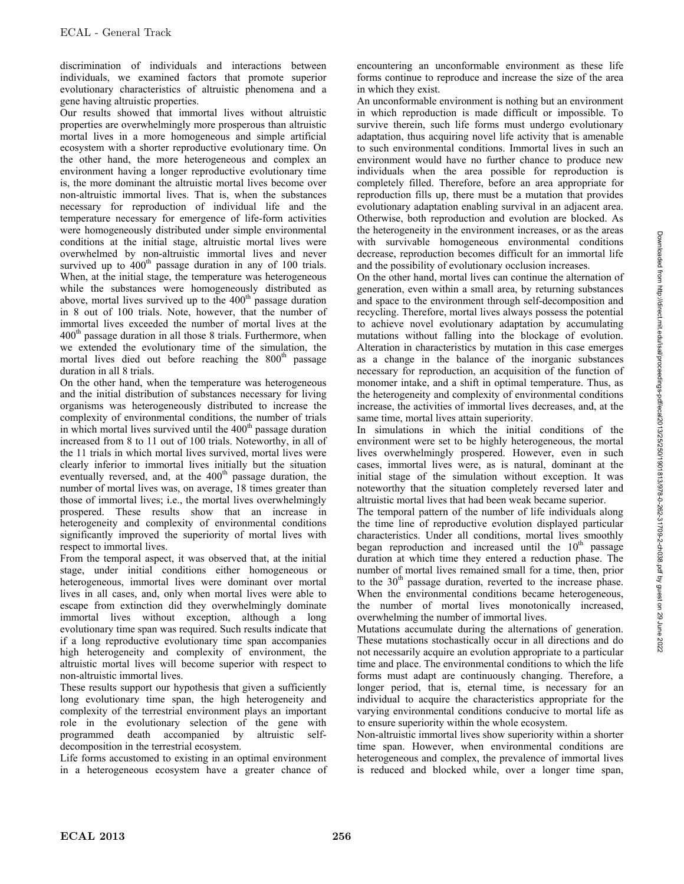discrimination of individuals and interactions between individuals, we examined factors that promote superior evolutionary characteristics of altruistic phenomena and a gene having altruistic properties.

Our results showed that immortal lives without altruistic properties are overwhelmingly more prosperous than altruistic mortal lives in a more homogeneous and simple artificial ecosystem with a shorter reproductive evolutionary time. On the other hand, the more heterogeneous and complex an environment having a longer reproductive evolutionary time is, the more dominant the altruistic mortal lives become over non-altruistic immortal lives. That is, when the substances necessary for reproduction of individual life and the temperature necessary for emergence of life-form activities were homogeneously distributed under simple environmental conditions at the initial stage, altruistic mortal lives were overwhelmed by non-altruistic immortal lives and never survived up to 400<sup>th</sup> passage duration in any of 100 trials. When, at the initial stage, the temperature was heterogeneous while the substances were homogeneously distributed as above, mortal lives survived up to the  $400<sup>th</sup>$  passage duration in 8 out of 100 trials. Note, however, that the number of immortal lives exceeded the number of mortal lives at the 400<sup>th</sup> passage duration in all those 8 trials. Furthermore, when we extended the evolutionary time of the simulation, the mortal lives died out before reaching the  $800<sup>th</sup>$  passage duration in all 8 trials.

On the other hand, when the temperature was heterogeneous and the initial distribution of substances necessary for living organisms was heterogeneously distributed to increase the complexity of environmental conditions, the number of trials in which mortal lives survived until the 400<sup>th</sup> passage duration increased from 8 to 11 out of 100 trials. Noteworthy, in all of the 11 trials in which mortal lives survived, mortal lives were clearly inferior to immortal lives initially but the situation eventually reversed, and, at the  $400<sup>th</sup>$  passage duration, the number of mortal lives was, on average, 18 times greater than those of immortal lives; i.e., the mortal lives overwhelmingly prospered. These results show that an increase in heterogeneity and complexity of environmental conditions significantly improved the superiority of mortal lives with respect to immortal lives.

From the temporal aspect, it was observed that, at the initial stage, under initial conditions either homogeneous or heterogeneous, immortal lives were dominant over mortal lives in all cases, and, only when mortal lives were able to escape from extinction did they overwhelmingly dominate immortal lives without exception, although a long evolutionary time span was required. Such results indicate that if a long reproductive evolutionary time span accompanies high heterogeneity and complexity of environment, the altruistic mortal lives will become superior with respect to non-altruistic immortal lives.

These results support our hypothesis that given a sufficiently long evolutionary time span, the high heterogeneity and complexity of the terrestrial environment plays an important role in the evolutionary selection of the gene with programmed death accompanied by altruistic selfdecomposition in the terrestrial ecosystem.

Life forms accustomed to existing in an optimal environment in a heterogeneous ecosystem have a greater chance of encountering an unconformable environment as these life forms continue to reproduce and increase the size of the area in which they exist.

An unconformable environment is nothing but an environment in which reproduction is made difficult or impossible. To survive therein, such life forms must undergo evolutionary adaptation, thus acquiring novel life activity that is amenable to such environmental conditions. Immortal lives in such an environment would have no further chance to produce new individuals when the area possible for reproduction is completely filled. Therefore, before an area appropriate for reproduction fills up, there must be a mutation that provides evolutionary adaptation enabling survival in an adjacent area. Otherwise, both reproduction and evolution are blocked. As the heterogeneity in the environment increases, or as the areas with survivable homogeneous environmental conditions decrease, reproduction becomes difficult for an immortal life and the possibility of evolutionary occlusion increases.

On the other hand, mortal lives can continue the alternation of generation, even within a small area, by returning substances and space to the environment through self-decomposition and recycling. Therefore, mortal lives always possess the potential to achieve novel evolutionary adaptation by accumulating mutations without falling into the blockage of evolution. Alteration in characteristics by mutation in this case emerges as a change in the balance of the inorganic substances necessary for reproduction, an acquisition of the function of monomer intake, and a shift in optimal temperature. Thus, as the heterogeneity and complexity of environmental conditions increase, the activities of immortal lives decreases, and, at the same time, mortal lives attain superiority.

In simulations in which the initial conditions of the environment were set to be highly heterogeneous, the mortal lives overwhelmingly prospered. However, even in such cases, immortal lives were, as is natural, dominant at the initial stage of the simulation without exception. It was noteworthy that the situation completely reversed later and altruistic mortal lives that had been weak became superior.

The temporal pattern of the number of life individuals along the time line of reproductive evolution displayed particular characteristics. Under all conditions, mortal lives smoothly began reproduction and increased until the  $10<sup>th</sup>$  passage duration at which time they entered a reduction phase. The number of mortal lives remained small for a time, then, prior to the 30<sup>th</sup> passage duration, reverted to the increase phase. When the environmental conditions became heterogeneous, the number of mortal lives monotonically increased, overwhelming the number of immortal lives.

Mutations accumulate during the alternations of generation. These mutations stochastically occur in all directions and do not necessarily acquire an evolution appropriate to a particular time and place. The environmental conditions to which the life forms must adapt are continuously changing. Therefore, a longer period, that is, eternal time, is necessary for an individual to acquire the characteristics appropriate for the varying environmental conditions conducive to mortal life as to ensure superiority within the whole ecosystem.

Non-altruistic immortal lives show superiority within a shorter time span. However, when environmental conditions are heterogeneous and complex, the prevalence of immortal lives is reduced and blocked while, over a longer time span,